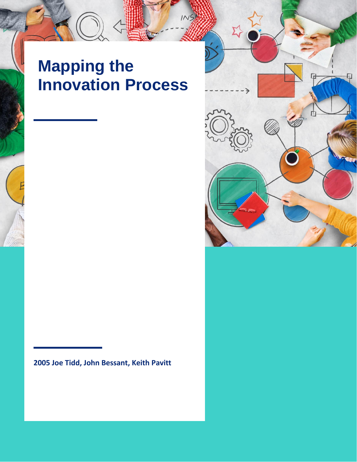## **Mapping the Innovation Process**



## **2005 Joe Tidd, John Bessant, Keith Pavitt**